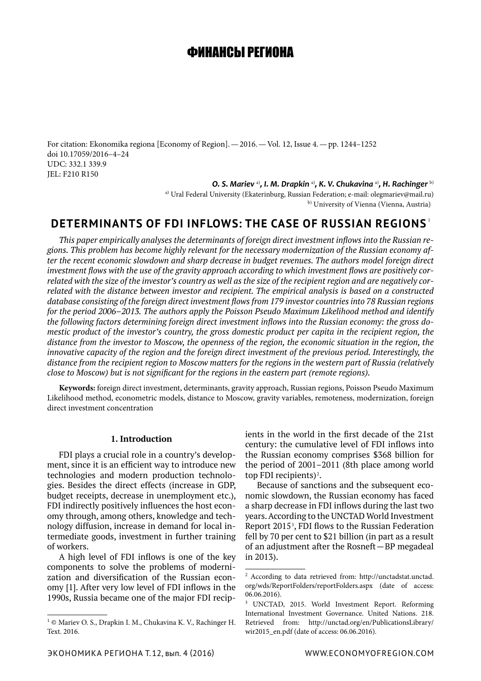# ФИНАНСЫ РЕГИОНА

For citation: Ekonomika regiona [Economy of Region].—2016.—Vol. 12, Issue 4.—pp. 1244–1252 doi 10.17059/2016–4–24 UDC: 332.1 339.9 JEL: F210 R150

*O. S. Mariev* a)*, I. M. Drapkin* a)*, K. V. Chukavina* a)*, H. Rachinger* b)

a) Ural Federal University (Ekaterinburg, Russian Federation; e-mail: olegmariev@mail.ru) b) University of Vienna (Vienna, Austria)

# **DETERMINANTS OF FDI INFLOWS: THE CASE OF RUSSIAN REGIONS** <sup>1</sup>

*This paper empirically analyses the determinants of foreign direct investment inflows into the Russian regions. This problem has become highly relevant for the necessary modernization of the Russian economy after the recent economic slowdown and sharp decrease in budget revenues. The authors model foreign direct investment flows with the use of the gravity approach according to which investment flows are positively correlated with the size of the investor's country as well as the size of the recipient region and are negatively correlated with the distance between investor and recipient. The empirical analysis is based on a constructed database consisting of the foreign direct investment flows from 179 investor countries into 78 Russian regions for the period 2006–2013. The authors apply the Poisson Pseudo Maximum Likelihood method and identify the following factors determining foreign direct investment inflows into the Russian economy: the gross domestic product of the investor's country, the gross domestic product per capita in the recipient region, the distance from the investor to Moscow, the openness of the region, the economic situation in the region, the innovative capacity of the region and the foreign direct investment of the previous period. Interestingly, the distance from the recipient region to Moscow matters for the regions in the western part of Russia (relatively close to Moscow) but is not significant for the regions in the eastern part (remote regions).*

**Keywords:** foreign direct investment, determinants, gravity approach, Russian regions, Poisson Pseudo Maximum Likelihood method, econometric models, distance to Moscow, gravity variables, remoteness, modernization, foreign direct investment concentration

# **1. Introduction**

FDI plays a crucial role in a country's development, since it is an efficient way to introduce new technologies and modern production technologies. Besides the direct effects (increase in GDP, budget receipts, decrease in unemployment etc.), FDI indirectly positively influences the host economy through, among others, knowledge and technology diffusion, increase in demand for local intermediate goods, investment in further training of workers.

A high level of FDI inflows is one of the key components to solve the problems of modernization and diversification of the Russian economy [1]. After very low level of FDI inflows in the 1990s, Russia became one of the major FDI recipients in the world in the first decade of the 21st century: the cumulative level of FDI inflows into the Russian economy comprises \$368 billion for the period of 2001–2011 (8th place among world top FDI recipients)<sup>2</sup>.

Because of sanctions and the subsequent economic slowdown, the Russian economy has faced a sharp decrease in FDI inflows during the last two years. According to the UNCTAD World Investment Report  $2015<sup>3</sup>$ , FDI flows to the Russian Federation fell by 70 per cent to \$21 billion (in part as a result of an adjustment after the Rosneft—BP megadeal in 2013).

<sup>1</sup> © Mariev O. S., Drapkin I. M., Chukavina K. V., Rachinger H. Text. 2016.

<sup>2</sup> According to data retrieved from: http://unctadstat.unctad. org/wds/ReportFolders/reportFolders.aspx (date of access: 06.06.2016).

<sup>3</sup> UNCTAD, 2015. World Investment Report. Reforming International Investment Governance. United Nations. 218. Retrieved from: http://unctad.org/en/PublicationsLibrary/ wir2015\_en.pdf (date of access: 06.06.2016).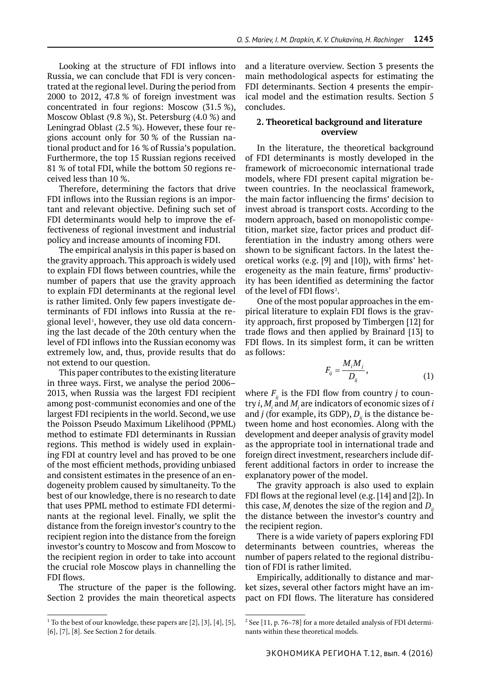Looking at the structure of FDI inflows into Russia, we can conclude that FDI is very concentrated at the regional level. During the period from 2000 to 2012, 47.8 % of foreign investment was concentrated in four regions: Moscow (31.5 %), Moscow Oblast (9.8 %), St. Petersburg (4.0 %) and Leningrad Oblast (2.5 %). However, these four regions account only for 30 % of the Russian national product and for 16 % of Russia's population. Furthermore, the top 15 Russian regions received 81 % of total FDI, while the bottom 50 regions received less than 10 %.

Therefore, determining the factors that drive FDI inflows into the Russian regions is an important and relevant objective. Defining such set of FDI determinants would help to improve the effectiveness of regional investment and industrial policy and increase amounts of incoming FDI.

The empirical analysis in this paper is based on the gravity approach. This approach is widely used to explain FDI flows between countries, while the number of papers that use the gravity approach to explain FDI determinants at the regional level is rather limited. Only few papers investigate determinants of FDI inflows into Russia at the regional level<sup>1</sup>, however, they use old data concerning the last decade of the 20th century when the level of FDI inflows into the Russian economy was extremely low, and, thus, provide results that do not extend to our question.

This paper contributes to the existing literature in three ways. First, we analyse the period 2006– 2013, when Russia was the largest FDI recipient among post-communist economies and one of the largest FDI recipients in the world. Second, we use the Poisson Pseudo Maximum Likelihood (PPML) method to estimate FDI determinants in Russian regions. This method is widely used in explaining FDI at country level and has proved to be one of the most efficient methods, providing unbiased and consistent estimates in the presence of an endogeneity problem caused by simultaneity. To the best of our knowledge, there is no research to date that uses PPML method to estimate FDI determinants at the regional level. Finally, we split the distance from the foreign investor's country to the recipient region into the distance from the foreign investor's country to Moscow and from Moscow to the recipient region in order to take into account the crucial role Moscow plays in channelling the FDI flows.

The structure of the paper is the following. Section 2 provides the main theoretical aspects and a literature overview. Section 3 presents the main methodological aspects for estimating the FDI determinants. Section 4 presents the empirical model and the estimation results. Section 5 concludes.

# **2. Theoretical background and literature overview**

In the literature, the theoretical background of FDI determinants is mostly developed in the framework of microeconomic international trade models, where FDI present capital migration between countries. In the neoclassical framework, the main factor influencing the firms' decision to invest abroad is transport costs. According to the modern approach, based on monopolistic competition, market size, factor prices and product differentiation in the industry among others were shown to be significant factors. In the latest theoretical works (e.g. [9] and [10]), with firms' heterogeneity as the main feature, firms' productivity has been identified as determining the factor of the level of FDI flows<sup>2</sup>.

One of the most popular approaches in the empirical literature to explain FDI flows is the gravity approach, first proposed by Timbergen [12] for trade flows and then applied by Brainard [13] to FDI flows. In its simplest form, it can be written as follows:

$$
F_{ij} = \frac{M_i M_j}{D_{ij}},\tag{1}
$$

where  $F_{ii}$  is the FDI flow from country *j* to country *i*, *Mi* and *Mj* are indicators of economic sizes of *i* and *j* (for example, its GDP),  $D_{ii}$  is the distance between home and host economies. Along with the development and deeper analysis of gravity model as the appropriate tool in international trade and foreign direct investment, researchers include different additional factors in order to increase the explanatory power of the model.

The gravity approach is also used to explain FDI flows at the regional level (e.g. [14] and [2]). In this case,  $M$ <sub>i</sub> denotes the size of the region and  $D$ <sub>i</sub> the distance between the investor's country and the recipient region.

There is a wide variety of papers exploring FDI determinants between countries, whereas the number of papers related to the regional distribution of FDI is rather limited.

Empirically, additionally to distance and market sizes, several other factors might have an impact on FDI flows. The literature has considered

 $<sup>1</sup>$  To the best of our knowledge, these papers are [2], [3], [4], [5],</sup> [6], [7], [8]. See Section 2 for details.

<sup>2</sup> See [11, p. 76–78] for a more detailed analysis of FDI determinants within these theoretical models.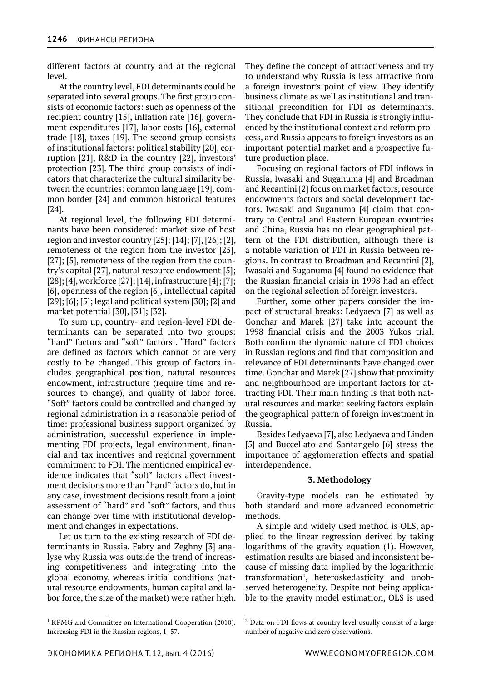different factors at country and at the regional level.

At the country level, FDI determinants could be separated into several groups. The first group consists of economic factors: such as openness of the recipient country [15], inflation rate [16], government expenditures [17], labor costs [16], external trade [18], taxes [19]. The second group consists of institutional factors: political stability [20], corruption [21], R&D in the country [22], investors' protection [23]. The third group consists of indicators that characterize the cultural similarity between the countries: common language [19], common border [24] and common historical features [24].

At regional level, the following FDI determinants have been considered: market size of host region and investor country [25]; [14]; [7], [26]; [2], remoteness of the region from the investor [25], [27]; [5], remoteness of the region from the country's capital [27], natural resource endowment [5]; [28]; [4], workforce [27]; [14], infrastructure [4]; [7]; [6], openness of the region [6], intellectual capital [29]; [6]; [5]; legal and political system [30]; [2] and market potential [30], [31]; [32].

To sum up, country- and region-level FDI determinants can be separated into two groups: "hard" factors and "soft" factors<sup>1</sup>. "Hard" factors are defined as factors which cannot or are very costly to be changed. This group of factors includes geographical position, natural resources endowment, infrastructure (require time and resources to change), and quality of labor force. "Soft" factors could be controlled and changed by regional administration in a reasonable period of time: professional business support organized by administration, successful experience in implementing FDI projects, legal environment, financial and tax incentives and regional government commitment to FDI. The mentioned empirical evidence indicates that "soft" factors affect investment decisions more than "hard" factors do, but in any case, investment decisions result from a joint assessment of "hard" and "soft" factors, and thus can change over time with institutional development and changes in expectations.

Let us turn to the existing research of FDI determinants in Russia. Fabry and Zeghny [3] analyse why Russia was outside the trend of increasing competitiveness and integrating into the global economy, whereas initial conditions (natural resource endowments, human capital and labor force, the size of the market) were rather high.

<sup>1</sup> KPMG and Committee on International Cooperation (2010). Increasing FDI in the Russian regions, 1–57.

They define the concept of attractiveness and try to understand why Russia is less attractive from a foreign investor's point of view. They identify business climate as well as institutional and transitional precondition for FDI as determinants. They conclude that FDI in Russia is strongly influenced by the institutional context and reform process, and Russia appears to foreign investors as an important potential market and a prospective future production place.

Focusing on regional factors of FDI inflows in Russia, Iwasaki and Suganuma [4] and Broadman and Recantini [2] focus on market factors, resource endowments factors and social development factors. Iwasaki and Suganuma [4] claim that contrary to Central and Eastern European countries and China, Russia has no clear geographical pattern of the FDI distribution, although there is a notable variation of FDI in Russia between regions. In contrast to Broadman and Recantini [2], Iwasaki and Suganuma [4] found no evidence that the Russian financial crisis in 1998 had an effect on the regional selection of foreign investors.

Further, some other papers consider the impact of structural breaks: Ledyaeva [7] as well as Gonchar and Marek [27] take into account the 1998 financial crisis and the 2003 Yukos trial. Both confirm the dynamic nature of FDI choices in Russian regions and find that composition and relevance of FDI determinants have changed over time. Gonchar and Marek [27] show that proximity and neighbourhood are important factors for attracting FDI. Their main finding is that both natural resources and market seeking factors explain the geographical pattern of foreign investment in Russia.

Besides Ledyaeva [7], also Ledyaeva and Linden [5] and Buccellato and Santangelo [6] stress the importance of agglomeration effects and spatial interdependence.

## **3. Methodology**

Gravity-type models can be estimated by both standard and more advanced econometric methods.

A simple and widely used method is OLS, applied to the linear regression derived by taking logarithms of the gravity equation (1). However, estimation results are biased and inconsistent because of missing data implied by the logarithmic transformation<sup>2</sup>, heteroskedasticity and unobserved heterogeneity. Despite not being applicable to the gravity model estimation, OLS is used

<sup>&</sup>lt;sup>2</sup> Data on FDI flows at country level usually consist of a large number of negative and zero observations.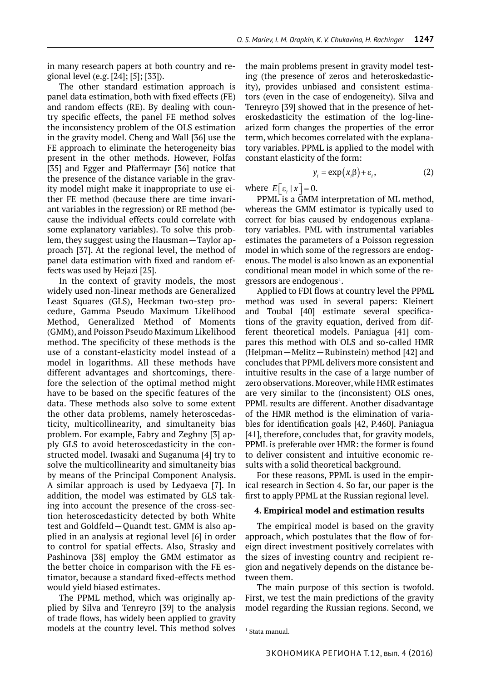in many research papers at both country and regional level (e.g. [24]; [5]; [33]).

The other standard estimation approach is panel data estimation, both with fixed effects (FE) and random effects (RE). By dealing with country specific effects, the panel FE method solves the inconsistency problem of the OLS estimation in the gravity model. Cheng and Wall [36] use the FE approach to eliminate the heterogeneity bias present in the other methods. However, Folfas [35] and Egger and Pfaffermayr [36] notice that the presence of the distance variable in the gravity model might make it inappropriate to use either FE method (because there are time invariant variables in the regression) or RE method (because the individual effects could correlate with some explanatory variables). To solve this problem, they suggest using the Hausman—Taylor approach [37]. At the regional level, the method of panel data estimation with fixed and random effects was used by Hejazi [25].

In the context of gravity models, the most widely used non-linear methods are Generalized Least Squares (GLS), Heckman two-step procedure, Gamma Pseudo Maximum Likelihood Method, Generalized Method of Moments (GMM), and Poisson Pseudo Maximum Likelihood method. The specificity of these methods is the use of a constant-elasticity model instead of a model in logarithms. All these methods have different advantages and shortcomings, therefore the selection of the optimal method might have to be based on the specific features of the data. These methods also solve to some extent the other data problems, namely heteroscedasticity, multicollinearity, and simultaneity bias problem. For example, Fabry and Zeghny [3] apply GLS to avoid heteroscedasticity in the constructed model. Iwasaki and Suganuma [4] try to solve the multicollinearity and simultaneity bias by means of the Principal Component Analysis. A similar approach is used by Ledyaeva [7]. In addition, the model was estimated by GLS taking into account the presence of the cross-section heteroscedasticity detected by both White test and Goldfeld—Quandt test. GMM is also applied in an analysis at regional level [6] in order to control for spatial effects. Also, Strasky and Pashinova [38] employ the GMM estimator as the better choice in comparison with the FE estimator, because a standard fixed-effects method would yield biased estimates.

The PPML method, which was originally applied by Silva and Tenreyro [39] to the analysis of trade flows, has widely been applied to gravity models at the country level. This method solves the main problems present in gravity model testing (the presence of zeros and heteroskedasticity), provides unbiased and consistent estimators (even in the case of endogeneity). Silva and Tenreyro [39] showed that in the presence of heteroskedasticity the estimation of the log-linearized form changes the properties of the error term, which becomes correlated with the explanatory variables. PPML is applied to the model with constant elasticity of the form:

$$
y_i = \exp(x_i \beta) + \varepsilon_i, \tag{2}
$$

where  $E[\epsilon_i | x] = 0$ .

PPML is a GMM interpretation of ML method, whereas the GMM estimator is typically used to correct for bias caused by endogenous explanatory variables. PML with instrumental variables estimates the parameters of a Poisson regression model in which some of the regressors are endogenous. The model is also known as an exponential conditional mean model in which some of the regressors are endogenous<sup>1</sup>.

Applied to FDI flows at country level the PPML method was used in several papers: Kleinert and Toubal [40] estimate several specifications of the gravity equation, derived from different theoretical models. Paniagua [41] compares this method with OLS and so-called HMR (Helpman—Melitz—Rubinstein) method [42] and concludes that PPML delivers more consistent and intuitive results in the case of a large number of zero observations. Moreover, while HMR estimates are very similar to the (inconsistent) OLS ones, PPML results are different. Another disadvantage of the HMR method is the elimination of variables for identification goals [42, P.460]. Paniagua [41], therefore, concludes that, for gravity models, PPML is preferable over HMR: the former is found to deliver consistent and intuitive economic results with a solid theoretical background.

For these reasons, PPML is used in the empirical research in Section 4. So far, our paper is the first to apply PPML at the Russian regional level.

## **4. Empirical model and estimation results**

The empirical model is based on the gravity approach, which postulates that the flow of foreign direct investment positively correlates with the sizes of investing country and recipient region and negatively depends on the distance between them.

The main purpose of this section is twofold. First, we test the main predictions of the gravity model regarding the Russian regions. Second, we

<sup>1</sup> Stata manual.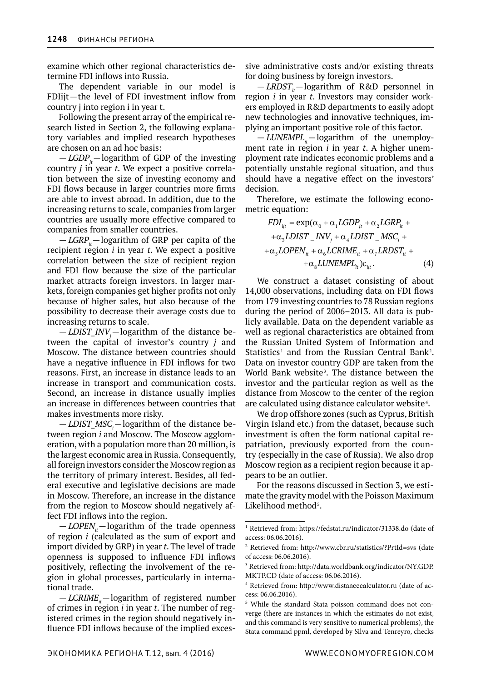examine which other regional characteristics determine FDI inflows into Russia.

The dependent variable in our model is FDIijt—the level of FDI investment inflow from country j into region i in year t.

Following the present array of the empirical research listed in Section 2, the following explanatory variables and implied research hypotheses are chosen on an ad hoc basis:

 $-LGDP<sub>i</sub>$ —logarithm of GDP of the investing country *j* in year *t*. We expect a positive correlation between the size of investing economy and FDI flows because in larger countries more firms are able to invest abroad. In addition, due to the increasing returns to scale, companies from larger countries are usually more effective compared to companies from smaller countries.

 $-LGRP<sub>i</sub>$ —logarithm of GRP per capita of the recipient region *i* in year *t*. We expect a positive correlation between the size of recipient region and FDI flow because the size of the particular market attracts foreign investors. In larger markets, foreign companies get higher profits not only because of higher sales, but also because of the possibility to decrease their average costs due to increasing returns to scale.

 $-LDIST\_INV_j - \text{logarithm of the distance be-}$ tween the capital of investor's country *j* and Moscow. The distance between countries should have a negative influence in FDI inflows for two reasons. First, an increase in distance leads to an increase in transport and communication costs. Second, an increase in distance usually implies an increase in differences between countries that makes investments more risky.

— *LDIST\_MSC*<sub>*i*</sub>—logarithm of the distance between region *i* and Moscow. The Moscow agglomeration, with a population more than 20 million, is the largest economic area in Russia. Consequently, all foreign investors consider the Moscow region as the territory of primary interest. Besides, all federal executive and legislative decisions are made in Moscow. Therefore, an increase in the distance from the region to Moscow should negatively affect FDI inflows into the region.

 $-LOPEN_{it}$ —logarithm of the trade openness of region *i* (calculated as the sum of export and import divided by GRP) in year *t*. The level of trade openness is supposed to influence FDI inflows positively, reflecting the involvement of the region in global processes, particularly in international trade.

 $-LCRIME<sub>i</sub>$ —logarithm of registered number of crimes in region *i* in year *t*. The number of registered crimes in the region should negatively influence FDI inflows because of the implied excessive administrative costs and/or existing threats for doing business by foreign investors.

 $-LRDST_{it}$ —logarithm of R&D personnel in region *i* in year *t*. Investors may consider workers employed in R&D departments to easily adopt new technologies and innovative techniques, implying an important positive role of this factor.

 $-LUNEMPL<sub>i</sub>$ —logarithm of the unemployment rate in region *i* in year *t*. A higher unemployment rate indicates economic problems and a potentially unstable regional situation, and thus should have a negative effect on the investors' decision.

Therefore, we estimate the following econometric equation:

$$
FDI_{ijt} = \exp(\alpha_0 + \alpha_1 LGDP_{jt} + \alpha_2 LGRP_{it} +
$$
  
+ $\alpha_3 LDIST\_INV_j + \alpha_4 LDIST\_MSC_i +$   
+ $\alpha_5 LOPEN_{it} + \alpha_6 LCRIME_{it} + \alpha_7 LRDST_{it} +$   
+ $\alpha_8 LUNEMPL_{it})\varepsilon_{ijt}$ . (4)

We construct a dataset consisting of about 14,000 observations, including data on FDI flows from 179 investing countries to 78 Russian regions during the period of 2006–2013. All data is publicly available. Data on the dependent variable as well as regional characteristics are obtained from the Russian United System of Information and Statistics<sup>1</sup> and from the Russian Central Bank<sup>2</sup>. Data on investor country GDP are taken from the World Bank website<sup>3</sup>. The distance between the investor and the particular region as well as the distance from Moscow to the center of the region are calculated using distance calculator website $4$ .

We drop offshore zones (such as Cyprus, British Virgin Island etc.) from the dataset, because such investment is often the form national capital repatriation, previously exported from the country (especially in the case of Russia). We also drop Moscow region as a recipient region because it appears to be an outlier.

For the reasons discussed in Section 3, we estimate the gravity model with the Poisson Maximum Likelihood method<sup>5</sup>.

<sup>&</sup>lt;sup>1</sup> Retrieved from: https://fedstat.ru/indicator/31338.do (date of access: 06.06.2016).

<sup>2</sup> Retrieved from: http://www.cbr.ru/statistics/?PrtId=svs (date of access: 06.06.2016).

<sup>3</sup> Retrieved from: http://data.worldbank.org/indicator/NY.GDP. MKTP.CD (date of access: 06.06.2016).

<sup>4</sup> Retrieved from: http://www.distancecalculator.ru (date of access: 06.06.2016).

<sup>5</sup> While the standard Stata poisson command does not converge (there are instances in which the estimates do not exist, and this command is very sensitive to numerical problems), the Stata command ppml, developed by Silva and Tenreyro, checks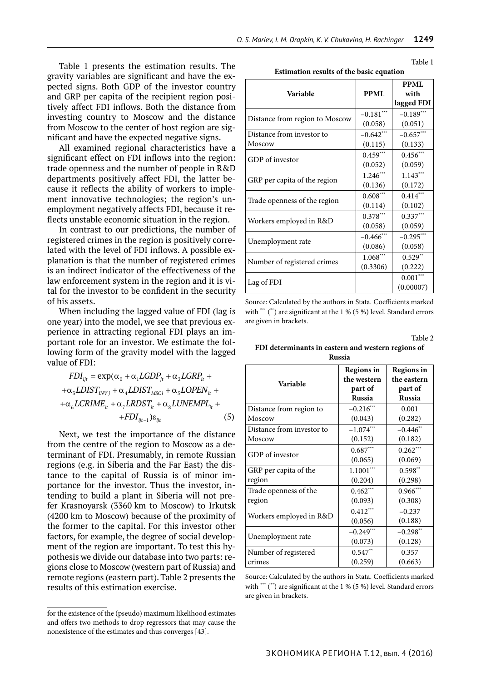Table 1 presents the estimation results. The gravity variables are significant and have the expected signs. Both GDP of the investor country and GRP per capita of the recipient region positively affect FDI inflows. Both the distance from investing country to Moscow and the distance from Moscow to the center of host region are significant and have the expected negative signs.

All examined regional characteristics have a significant effect on FDI inflows into the region: trade openness and the number of people in R&D departments positively affect FDI, the latter because it reflects the ability of workers to implement innovative technologies; the region's unemployment negatively affects FDI, because it reflects unstable economic situation in the region.

In contrast to our predictions, the number of registered crimes in the region is positively correlated with the level of FDI inflows. A possible explanation is that the number of registered crimes is an indirect indicator of the effectiveness of the law enforcement system in the region and it is vital for the investor to be confident in the security of his assets.

When including the lagged value of FDI (lag is one year) into the model, we see that previous experience in attracting regional FDI plays an important role for an investor. We estimate the following form of the gravity model with the lagged value of FDI:

$$
FDI_{ijt} = \exp(\alpha_0 + \alpha_1 LGDP_{jt} + \alpha_2 LGRP_{it} +
$$
  
+ $\alpha_3 LDIST_{INVj} + \alpha_4 LDIST_{MSCI} + \alpha_5 LOPEN_{it} +$   
+ $\alpha_6 LCRIME_{it} + \alpha_7 LRDST_{it} + \alpha_8 LUNEMPL_{it} +$   
+ $FDI_{ijt-1}$ ) $\varepsilon_{ijt}$  (5)

Next, we test the importance of the distance from the centre of the region to Moscow as a determinant of FDI. Presumably, in remote Russian regions (e.g. in Siberia and the Far East) the distance to the capital of Russia is of minor importance for the investor. Thus the investor, intending to build a plant in Siberia will not prefer Krasnoyarsk (3360 km to Moscow) to Irkutsk (4200 km to Moscow) because of the proximity of the former to the capital. For this investor other factors, for example, the degree of social development of the region are important. To test this hypothesis we divide our database into two parts: regions close to Moscow (western part of Russia) and remote regions (eastern part). Table 2 presents the results of this estimation exercise.

| Table 1 |
|---------|
|         |

**Estimation results of the basic equation**

|                                |              | <b>PPML</b> |
|--------------------------------|--------------|-------------|
| <b>Variable</b>                | <b>PPML</b>  | with        |
|                                |              | lagged FDI  |
| Distance from region to Moscow | $-0.181$ *** | $-0.189***$ |
|                                | (0.058)      | (0.051)     |
| Distance from investor to      | $-0.642***$  | $-0.657***$ |
| Moscow                         | (0.115)      | (0.133)     |
| GDP of investor                | $0.459***$   | $0.456***$  |
|                                | (0.052)      | (0.059)     |
| GRP per capita of the region   | $1.246***$   | $1.143***$  |
|                                | (0.136)      | (0.172)     |
| Trade openness of the region   | $0.608***$   | $0.414***$  |
|                                | (0.114)      | (0.102)     |
| Workers employed in R&D        | $0.378***$   | $0.337***$  |
|                                | (0.058)      | (0.059)     |
| Unemployment rate              | $-0.466$ *** | $-0.295***$ |
|                                | (0.086)      | (0.058)     |
| Number of registered crimes    | $1.068***$   | $0.529**$   |
|                                | (0.3306)     | (0.222)     |
| Lag of FDI                     |              | $0.001***$  |
|                                |              | (0.00007)   |

Source: Calculated by the authors in Stata. Coefficients marked with \*\*\* (\*\*) are significant at the 1 % (5 %) level. Standard errors are given in brackets.

Table 2

**FDI determinants in eastern and western regions of Russia**

| Variable                  | Regions in<br>the western<br>part of<br><b>Russia</b> | Regions in<br>the eastern<br>part of<br><b>Russia</b> |
|---------------------------|-------------------------------------------------------|-------------------------------------------------------|
| Distance from region to   | $-0.216***$                                           | 0.001                                                 |
| Moscow                    | (0.043)                                               | (0.282)                                               |
| Distance from investor to | $-1.074***$                                           | $-0.446$ **                                           |
| Moscow                    | (0.152)                                               | (0.182)                                               |
| GDP of investor           | $0.687***$                                            | $0.262***$                                            |
|                           | (0.065)                                               | (0.069)                                               |
| GRP per capita of the     | $1.1001***$                                           | $0.598**$                                             |
| region                    | (0.204)                                               | (0.298)                                               |
| Trade openness of the     | $0.462***$                                            | $0.966***$                                            |
| region                    | (0.093)                                               | (0.308)                                               |
| Workers employed in R&D   | $0.412***$                                            | $-0.237$                                              |
|                           | (0.056)                                               | (0.188)                                               |
| Unemployment rate         | $-0.249***$                                           | $-0.298**$                                            |
|                           | (0.073)                                               | (0.128)                                               |
| Number of registered      | $0.547**$                                             | 0.357                                                 |
| crimes                    | (0.259)                                               | (0.663)                                               |

Source: Calculated by the authors in Stata. Coefficients marked with \*\*\*  $(*)$  are significant at the 1 % (5 %) level. Standard errors are given in brackets.

for the existence of the (pseudo) maximum likelihood estimates and offers two methods to drop regressors that may cause the nonexistence of the estimates and thus converges [43].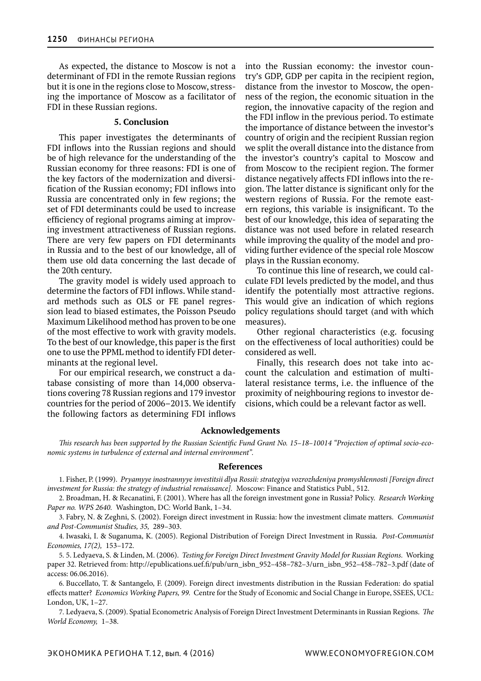As expected, the distance to Moscow is not a determinant of FDI in the remote Russian regions but it is one in the regions close to Moscow, stressing the importance of Moscow as a facilitator of FDI in these Russian regions.

#### **5. Conclusion**

This paper investigates the determinants of FDI inflows into the Russian regions and should be of high relevance for the understanding of the Russian economy for three reasons: FDI is one of the key factors of the modernization and diversification of the Russian economy; FDI inflows into Russia are concentrated only in few regions; the set of FDI determinants could be used to increase efficiency of regional programs aiming at improving investment attractiveness of Russian regions. There are very few papers on FDI determinants in Russia and to the best of our knowledge, all of them use old data concerning the last decade of the 20th century.

The gravity model is widely used approach to determine the factors of FDI inflows. While standard methods such as OLS or FE panel regression lead to biased estimates, the Poisson Pseudo Maximum Likelihood method has proven to be one of the most effective to work with gravity models. To the best of our knowledge, this paper is the first one to use the PPML method to identify FDI determinants at the regional level.

For our empirical research, we construct a database consisting of more than 14,000 observations covering 78 Russian regions and 179 investor countries for the period of 2006–2013. We identify the following factors as determining FDI inflows into the Russian economy: the investor country's GDP, GDP per capita in the recipient region, distance from the investor to Moscow, the openness of the region, the economic situation in the region, the innovative capacity of the region and the FDI inflow in the previous period. To estimate the importance of distance between the investor's country of origin and the recipient Russian region we split the overall distance into the distance from the investor's country's capital to Moscow and from Moscow to the recipient region. The former distance negatively affects FDI inflows into the region. The latter distance is significant only for the western regions of Russia. For the remote eastern regions, this variable is insignificant. To the best of our knowledge, this idea of separating the distance was not used before in related research while improving the quality of the model and providing further evidence of the special role Moscow plays in the Russian economy.

To continue this line of research, we could calculate FDI levels predicted by the model, and thus identify the potentially most attractive regions. This would give an indication of which regions policy regulations should target (and with which measures).

Other regional characteristics (e.g. focusing on the effectiveness of local authorities) could be considered as well.

Finally, this research does not take into account the calculation and estimation of multilateral resistance terms, i.e. the influence of the proximity of neighbouring regions to investor decisions, which could be a relevant factor as well.

#### **Acknowledgements**

*This research has been supported by the Russian Scientific Fund Grant No. 15–18–10014 "Projection of optimal socio-economic systems in turbulence of external and internal environment".*

#### **References**

1. Fisher, P. (1999).  *Pryamyye inostrannyye investitsii dlya Rossii: strategiya vozrozhdeniya promyshlennosti [Foreign direct investment for Russia: the strategy of industrial renaissance].*  Moscow: Finance and Statistics Publ., 512.

2. Broadman, H. & Recanatini, F. (2001). Where has all the foreign investment gone in Russia? Policy.  *Research Working Paper no. WPS 2640.*  Washington, DC: World Bank, 1–34.

3. Fabry, N. & Zeghni, S. (2002). Foreign direct investment in Russia: how the investment climate matters.  *Communist and Post-Communist Studies, 35,*  289–303.

4. Iwasaki, I. & Suganuma, K. (2005). Regional Distribution of Foreign Direct Investment in Russia.  *Post-Communist Economies, 17(2),*  153–172.

5. 5. Ledyaeva, S. & Linden, M. (2006).  *Testing for Foreign Direct Investment Gravity Model for Russian Regions.*  Working paper 32. Retrieved from: http://epublications.uef.fi/pub/urn\_isbn\_952–458–782–3/urn\_isbn\_952–458–782–3.pdf (date of access: 06.06.2016).

6. Buccellato, T. & Santangelo, F. (2009). Foreign direct investments distribution in the Russian Federation: do spatial effects matter?  *Economics Working Papers, 99.*  Centre for the Study of Economic and Social Change in Europe, SSEES, UCL: London, UK, 1–27.

7. Ledyaeva, S. (2009). Spatial Econometric Analysis of Foreign Direct Investment Determinants in Russian Regions.  *The World Economy,*  1–38.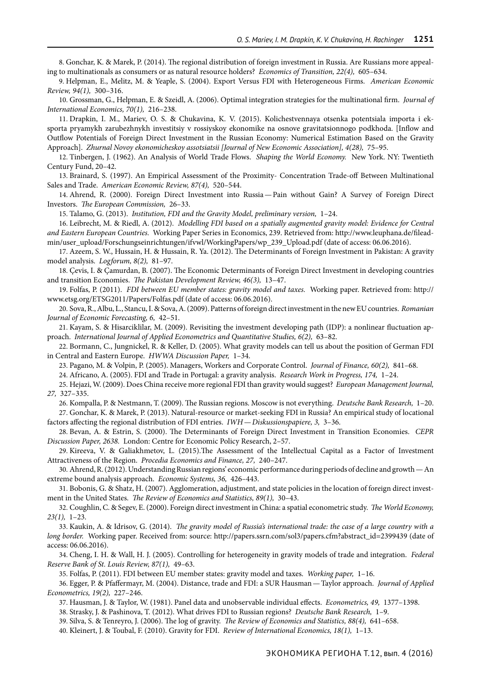8. Gonchar, K. & Marek, P. (2014). The regional distribution of foreign investment in Russia. Are Russians more appealing to multinationals as consumers or as natural resource holders?  *Economics of Transition, 22(4),*  605–634.

9. Helpman, E., Melitz, M. & Yeaple, S. (2004). Export Versus FDI with Heterogeneous Firms.  *American Economic Review, 94(1),*  300–316.

10. Grossman, G., Helpman, E. & Szeidl, A. (2006). Optimal integration strategies for the multinational firm.  *Journal of International Economics, 70(1),*  216–238.

11. Drapkin, I. M., Mariev, O. S. & Chukavina, K. V. (2015). Kolichestvennaya otsenka potentsiala importa i eksporta pryamykh zarubezhnykh investitsiy v rossiyskoy ekonomike na osnove gravitatsionnogo podkhoda. [Inflow and Outflow Potentials of Foreign Direct Investment in the Russian Economy: Numerical Estimation Based on the Gravity Approach].  *Zhurnal Novoy ekonomicheskoy assotsiatsii [Journal of New Economic Association], 4(28),*  75–95.

12. Tinbergen, J. (1962). An Analysis of World Trade Flows.  *Shaping the World Economy.*  New York. NY: Twentieth Century Fund, 20–42.

13. Brainard, S. (1997). An Empirical Assessment of the Proximity- Concentration Trade-off Between Multinational Sales and Trade.  *American Economic Review, 87(4),*  520–544.

14. Ahrend, R. (2000). Foreign Direct Investment into Russia—Pain without Gain? A Survey of Foreign Direct Investors.  *The European Commission,*  26–33.

15. Talamo, G. (2013).  *Institution, FDI and the Gravity Model, preliminary version,*  1–24.

16. Leibrecht, M. & Riedl, A. (2012).  *Modelling FDI based on a spatially augmented gravity model: Evidence for Central and Eastern European Countries.*  Working Paper Series in Economics, 239. Retrieved from: http://www.leuphana.de/filead-

min/user\_upload/Forschungseinrichtungen/ifvwl/WorkingPapers/wp\_239\_Upload.pdf (date of access: 06.06.2016).

17. Azeem, S. W., Hussain, H. & Hussain, R. Ya. (2012). The Determinants of Foreign Investment in Pakistan: A gravity model analysis.  *Logforum, 8(2),*  81–97.

18. Çevis, I. & Çamurdan, B. (2007). The Economic Determinants of Foreign Direct Investment in developing countries and transition Economies.  *The Pakistan Development Review, 46(3),*  13–47.

19. Folfas, P. (2011).  *FDI between EU member states: gravity model and taxes.*  Working paper. Retrieved from: http:// www.etsg.org/ETSG2011/Papers/Folfas.pdf (date of access: 06.06.2016).

20. Sova, R., Albu, L., Stancu, I. & Sova, A. (2009). Patterns of foreign direct investment in the new EU countries.  *Romanian Journal of Economic Forecasting, 6,*  42–51.

21. Kayam, S. & Hisarciklilar, M. (2009). Revisiting the investment developing path (IDP): a nonlinear fluctuation approach.  *International Journal of Applied Econometrics and Quantitative Studies, 6(2),*  63–82.

22. Bormann, C., Jungnickel, R. & Keller, D. (2005). What gravity models can tell us about the position of German FDI in Central and Eastern Europe.  *HWWA Discussion Paper,*  1–34.

23. Pagano, M. & Volpin, P. (2005). Managers, Workers and Corporate Control.  *Journal of Finance, 60(2),*  841–68.

24. Africano, A. (2005). FDI and Trade in Portugal: a gravity analysis.  *Research Work in Progress, 174,*  1–24.

25. Hejazi, W. (2009). Does China receive more regional FDI than gravity would suggest?  *European Management Journal, 27,*  327–335.

26. Kompalla, P. & Nestmann, T. (2009). The Russian regions. Moscow is not everything.  *Deutsche Bank Research,*  1–20. 27. Gonchar, K. & Marek, P. (2013). Natural-resource or market-seeking FDI in Russia? An empirical study of locational

factors affecting the regional distribution of FDI entries.  *IWH—Diskussionspapiere, 3,*  3–36.

28. Bevan, A. & Estrin, S. (2000). The Determinants of Foreign Direct Investment in Transition Economies.  *CEPR Discussion Paper, 2638.*  London: Centre for Economic Policy Research, 2–57.

29. Kireeva, V. & Galiakhmetov, L. (2015).The Assessment of the Intellectual Capital as a Factor of Investment Attractiveness of the Region.  *Procedia Economics and Finance, 27,*  240–247.

30. Ahrend, R. (2012). Understanding Russian regions' economic performance during periods of decline and growth—An extreme bound analysis approach.  *Economic Systems, 36,*  426–443.

31. Bobonis, G. & Shatz, H. (2007). Agglomeration, adjustment, and state policies in the location of foreign direct investment in the United States.  *The Review of Economics and Statistics, 89(1),*  30–43.

32. Coughlin, C. & Segev, E. (2000). Foreign direct investment in China: a spatial econometric study.  *The World Economy, 23(1),*  1–23.

33. Kaukin, A. & Idrisov, G. (2014).  *The gravity model of Russia's international trade: the case of a large country with a long border.*  Working paper. Received from: source: http://papers.ssrn.com/sol3/papers.cfm?abstract\_id=2399439 (date of access: 06.06.2016).

34. Cheng, I. H. & Wall, H. J. (2005). Controlling for heterogeneity in gravity models of trade and integration.  *Federal Reserve Bank of St. Louis Review, 87(1),*  49–63.

35. Folfas, P. (2011). FDI between EU member states: gravity model and taxes.  *Working paper,*  1–16.

36. Egger, P. & Pfaffermayr, M. (2004). Distance, trade and FDI: a SUR Hausman—Taylor approach.  *Journal of Applied Econometrics, 19(2),*  227–246.

37. Hausman, J. & Taylor, W. (1981). Panel data and unobservable individual effects.  *Econometrics, 49,*  1377–1398.

38. Strasky, J. & Pashinova, T. (2012). What drives FDI to Russian regions?  *Deutsche Bank Research,*  1–9.

39. Silva, S. & Tenreyro, J. (2006). The log of gravity.  *The Review of Economics and Statistics, 88(4),*  641–658.

40. Kleinert, J. & Toubal, F. (2010). Gravity for FDI.  *Review of International Economics, 18(1),*  1–13.